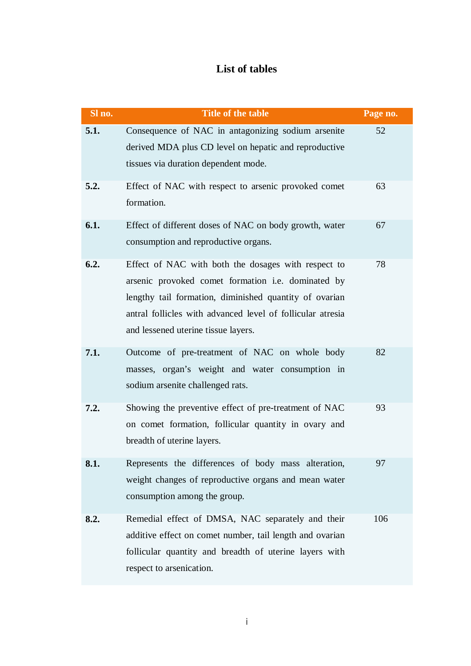## **List of tables**

| Sl no. | <b>Title of the table</b>                                                                                                                                                                                                                                                | Page no. |
|--------|--------------------------------------------------------------------------------------------------------------------------------------------------------------------------------------------------------------------------------------------------------------------------|----------|
| 5.1.   | Consequence of NAC in antagonizing sodium arsenite<br>derived MDA plus CD level on hepatic and reproductive<br>tissues via duration dependent mode.                                                                                                                      | 52       |
| 5.2.   | Effect of NAC with respect to arsenic provoked comet<br>formation.                                                                                                                                                                                                       | 63       |
| 6.1.   | Effect of different doses of NAC on body growth, water<br>consumption and reproductive organs.                                                                                                                                                                           | 67       |
| 6.2.   | Effect of NAC with both the dosages with respect to<br>arsenic provoked comet formation i.e. dominated by<br>lengthy tail formation, diminished quantity of ovarian<br>antral follicles with advanced level of follicular atresia<br>and lessened uterine tissue layers. | 78       |
| 7.1.   | Outcome of pre-treatment of NAC on whole body<br>masses, organ's weight and water consumption in<br>sodium arsenite challenged rats.                                                                                                                                     | 82       |
| 7.2.   | Showing the preventive effect of pre-treatment of NAC<br>on comet formation, follicular quantity in ovary and<br>breadth of uterine layers.                                                                                                                              | 93       |
| 8.1.   | Represents the differences of body mass alteration,<br>weight changes of reproductive organs and mean water<br>consumption among the group.                                                                                                                              | 97       |
| 8.2.   | Remedial effect of DMSA, NAC separately and their<br>additive effect on comet number, tail length and ovarian<br>follicular quantity and breadth of uterine layers with<br>respect to arsenication.                                                                      | 106      |